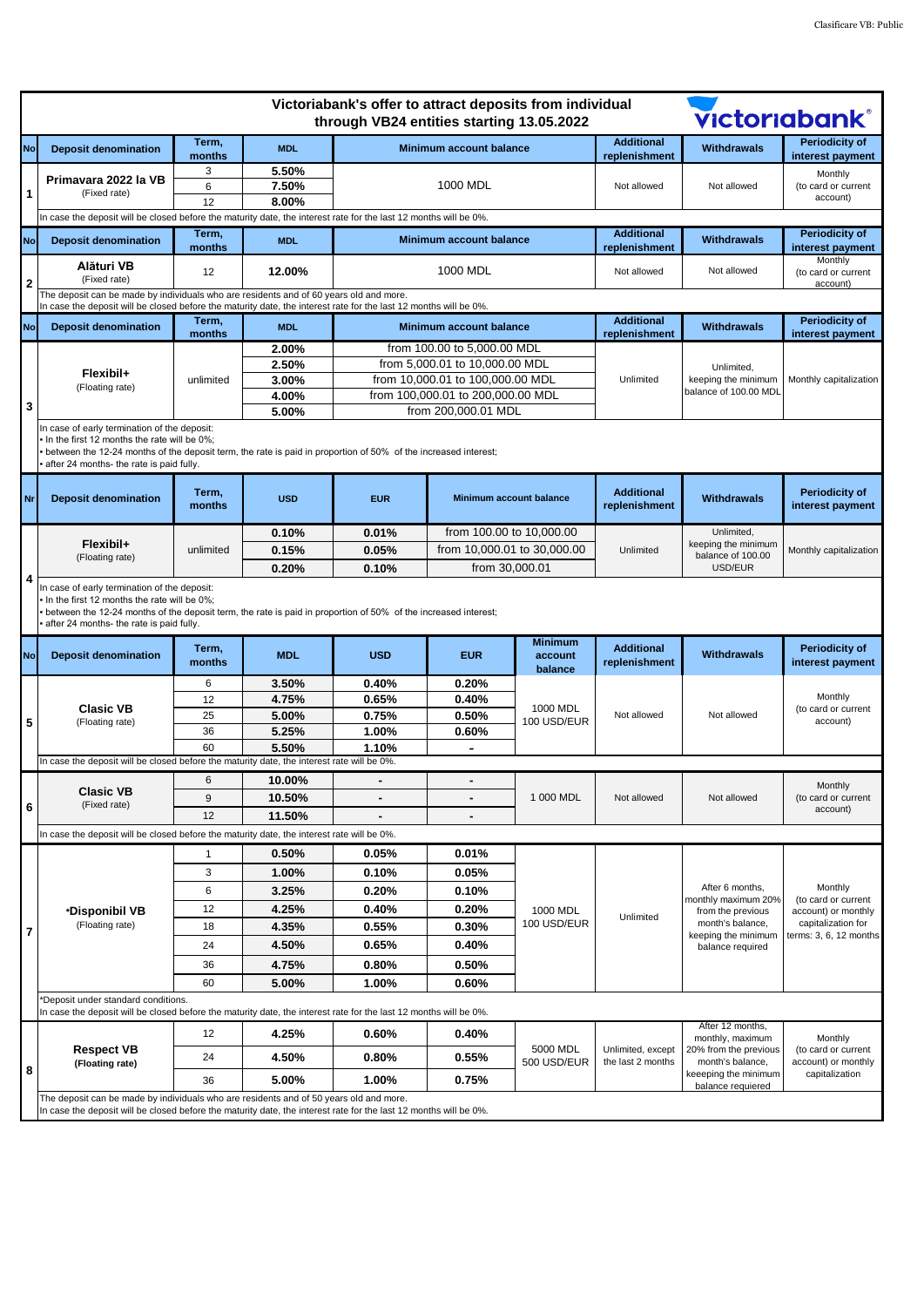| Victoriabank's offer to attract deposits from individual<br><b>Victoriabank®</b><br>through VB24 entities starting 13.05.2022 |                                                                                                                                                                                                                                                           |                 |                |                                                                                                                   |                                |                                      |                                              |                                                                                                                            |                                                                                                       |  |
|-------------------------------------------------------------------------------------------------------------------------------|-----------------------------------------------------------------------------------------------------------------------------------------------------------------------------------------------------------------------------------------------------------|-----------------|----------------|-------------------------------------------------------------------------------------------------------------------|--------------------------------|--------------------------------------|----------------------------------------------|----------------------------------------------------------------------------------------------------------------------------|-------------------------------------------------------------------------------------------------------|--|
| <b>No</b>                                                                                                                     | <b>Deposit denomination</b>                                                                                                                                                                                                                               | Term,<br>months | <b>MDL</b>     |                                                                                                                   | <b>Minimum account balance</b> |                                      | <b>Additional</b><br>replenishment           | <b>Withdrawals</b>                                                                                                         | <b>Periodicity of</b><br>interest payment                                                             |  |
| $\mathbf{1}$                                                                                                                  | Primavara 2022 la VB<br>(Fixed rate)                                                                                                                                                                                                                      | 3<br>6          | 5.50%<br>7.50% | 1000 MDL                                                                                                          |                                |                                      | Not allowed                                  | Not allowed                                                                                                                | Monthly<br>(to card or current<br>account)                                                            |  |
|                                                                                                                               |                                                                                                                                                                                                                                                           | 12              | 8.00%          | In case the deposit will be closed before the maturity date, the interest rate for the last 12 months will be 0%. |                                |                                      |                                              |                                                                                                                            |                                                                                                       |  |
| <b>No</b>                                                                                                                     | <b>Deposit denomination</b>                                                                                                                                                                                                                               | Term,           | <b>MDL</b>     |                                                                                                                   | Minimum account balance        |                                      | <b>Additional</b>                            | <b>Withdrawals</b>                                                                                                         | <b>Periodicity of</b>                                                                                 |  |
|                                                                                                                               | Alături VB<br>(Fixed rate)                                                                                                                                                                                                                                | months<br>12    | 12.00%         |                                                                                                                   | 1000 MDL                       |                                      | replenishment<br>Not allowed                 | Not allowed                                                                                                                | interest payment<br>Monthly<br>(to card or current                                                    |  |
| $\mathbf{2}$                                                                                                                  | The deposit can be made by individuals who are residents and of 60 years old and more.                                                                                                                                                                    |                 |                | In case the deposit will be closed before the maturity date, the interest rate for the last 12 months will be 0%. |                                |                                      |                                              | account)                                                                                                                   |                                                                                                       |  |
| <b>No</b>                                                                                                                     | <b>Deposit denomination</b>                                                                                                                                                                                                                               | Term,<br>months | <b>MDL</b>     |                                                                                                                   | <b>Minimum account balance</b> |                                      | <b>Additional</b><br>replenishment           | <b>Withdrawals</b>                                                                                                         | <b>Periodicity of</b><br>interest payment                                                             |  |
|                                                                                                                               |                                                                                                                                                                                                                                                           |                 | 2.00%          |                                                                                                                   | from 100.00 to 5,000.00 MDL    |                                      |                                              |                                                                                                                            |                                                                                                       |  |
|                                                                                                                               | Flexibil+<br>(Floating rate)                                                                                                                                                                                                                              | unlimited       | 2.50%          |                                                                                                                   | from 5,000.01 to 10,000.00 MDL |                                      |                                              | Unlimited,                                                                                                                 |                                                                                                       |  |
|                                                                                                                               |                                                                                                                                                                                                                                                           |                 | 3.00%          | from 10,000.01 to 100,000.00 MDL<br>from 100,000.01 to 200,000.00 MDL                                             |                                | Unlimited                            | keeping the minimum<br>balance of 100.00 MDI | Monthly capitalization                                                                                                     |                                                                                                       |  |
|                                                                                                                               |                                                                                                                                                                                                                                                           |                 | 4.00%          |                                                                                                                   |                                |                                      |                                              |                                                                                                                            |                                                                                                       |  |
| 3                                                                                                                             |                                                                                                                                                                                                                                                           |                 | 5.00%          |                                                                                                                   | from 200,000.01 MDL            |                                      |                                              |                                                                                                                            |                                                                                                       |  |
|                                                                                                                               | In case of early termination of the deposit:<br>In the first 12 months the rate will be 0%:<br>between the 12-24 months of the deposit term, the rate is paid in proportion of 50% of the increased interest;<br>after 24 months- the rate is paid fully. |                 |                |                                                                                                                   |                                |                                      |                                              |                                                                                                                            |                                                                                                       |  |
| Nr                                                                                                                            | <b>Deposit denomination</b>                                                                                                                                                                                                                               | Term,<br>months | <b>USD</b>     | <b>EUR</b>                                                                                                        | Minimum account balance        |                                      | <b>Additional</b><br>replenishment           | <b>Withdrawals</b>                                                                                                         | <b>Periodicity of</b><br>interest payment                                                             |  |
|                                                                                                                               | Flexibil+                                                                                                                                                                                                                                                 | unlimited       | 0.10%          | 0.01%                                                                                                             | from 100.00 to 10,000.00       |                                      | Unlimited                                    | Unlimited,<br>keeping the minimum<br>balance of 100.00                                                                     | Monthly capitalization                                                                                |  |
|                                                                                                                               |                                                                                                                                                                                                                                                           |                 | 0.15%          | 0.05%                                                                                                             | from 10,000.01 to 30,000.00    |                                      |                                              |                                                                                                                            |                                                                                                       |  |
|                                                                                                                               | (Floating rate)                                                                                                                                                                                                                                           |                 | 0.20%          | 0.10%                                                                                                             | from 30,000.01                 |                                      |                                              | USD/EUR                                                                                                                    |                                                                                                       |  |
| $\overline{4}$                                                                                                                | In case of early termination of the deposit:<br>In the first 12 months the rate will be 0%;<br>between the 12-24 months of the deposit term, the rate is paid in proportion of 50% of the increased interest;<br>after 24 months- the rate is paid fully. |                 |                |                                                                                                                   |                                |                                      |                                              |                                                                                                                            |                                                                                                       |  |
| <b>No</b>                                                                                                                     | <b>Deposit denomination</b>                                                                                                                                                                                                                               | Term,<br>months | <b>MDL</b>     | <b>USD</b>                                                                                                        | <b>EUR</b>                     | <b>Minimum</b><br>account<br>balance | <b>Additional</b><br>replenishment           | <b>Withdrawals</b>                                                                                                         | <b>Periodicity of</b><br>interest payment                                                             |  |
|                                                                                                                               | <b>Clasic VB</b><br>(Floating rate)                                                                                                                                                                                                                       | 6               | 3.50%          | 0.40%                                                                                                             | 0.20%                          | 1000 MDL<br>100 USD/EUR              | Not allowed                                  | Not allowed                                                                                                                | Monthly<br>(to card or current<br>account)                                                            |  |
|                                                                                                                               |                                                                                                                                                                                                                                                           | 12              | 4.75%          | 0.65%                                                                                                             | 0.40%                          |                                      |                                              |                                                                                                                            |                                                                                                       |  |
| 5                                                                                                                             |                                                                                                                                                                                                                                                           | 25              | 5.00%          | 0.75%                                                                                                             | 0.50%                          |                                      |                                              |                                                                                                                            |                                                                                                       |  |
|                                                                                                                               |                                                                                                                                                                                                                                                           | 36              | 5.25%          | 1.00%                                                                                                             | 0.60%                          |                                      |                                              |                                                                                                                            |                                                                                                       |  |
|                                                                                                                               |                                                                                                                                                                                                                                                           | 60              | 5.50%          | 1.10%                                                                                                             | ٠                              |                                      |                                              |                                                                                                                            |                                                                                                       |  |
|                                                                                                                               | In case the deposit will be closed before the maturity date, the interest rate will be 0%.                                                                                                                                                                |                 |                |                                                                                                                   |                                |                                      |                                              |                                                                                                                            |                                                                                                       |  |
|                                                                                                                               | <b>Clasic VB</b>                                                                                                                                                                                                                                          | 6               | 10.00%         |                                                                                                                   |                                |                                      | Not allowed                                  | Not allowed                                                                                                                | Monthly<br>(to card or current<br>account)                                                            |  |
| $\bf 6$                                                                                                                       | (Fixed rate)                                                                                                                                                                                                                                              | 9               | 10.50%         | $\blacksquare$                                                                                                    | $\qquad \qquad \blacksquare$   | 1 000 MDL                            |                                              |                                                                                                                            |                                                                                                       |  |
|                                                                                                                               |                                                                                                                                                                                                                                                           | 12              | 11.50%         | $\blacksquare$                                                                                                    | $\qquad \qquad \blacksquare$   |                                      |                                              |                                                                                                                            |                                                                                                       |  |
| In case the deposit will be closed before the maturity date, the interest rate will be 0%.                                    |                                                                                                                                                                                                                                                           |                 |                |                                                                                                                   |                                |                                      |                                              |                                                                                                                            |                                                                                                       |  |
|                                                                                                                               | *Disponibil VB<br>(Floating rate)                                                                                                                                                                                                                         | $\mathbf{1}$    | 0.50%          | 0.05%                                                                                                             | 0.01%                          | 1000 MDL<br>100 USD/EUR              | Unlimited                                    | After 6 months.<br>monthly maximum 20%<br>from the previous<br>month's balance,<br>keeping the minimum<br>balance required | Monthly<br>(to card or current<br>account) or monthly<br>capitalization for<br>terms: 3, 6, 12 months |  |
|                                                                                                                               |                                                                                                                                                                                                                                                           | 3               | 1.00%          | 0.10%                                                                                                             | 0.05%                          |                                      |                                              |                                                                                                                            |                                                                                                       |  |
|                                                                                                                               |                                                                                                                                                                                                                                                           | 6               | 3.25%          | 0.20%                                                                                                             | 0.10%                          |                                      |                                              |                                                                                                                            |                                                                                                       |  |
|                                                                                                                               |                                                                                                                                                                                                                                                           | 12              | 4.25%          | 0.40%                                                                                                             | 0.20%                          |                                      |                                              |                                                                                                                            |                                                                                                       |  |
| $\overline{7}$                                                                                                                |                                                                                                                                                                                                                                                           | 18              | 4.35%          | 0.55%                                                                                                             | 0.30%                          |                                      |                                              |                                                                                                                            |                                                                                                       |  |
|                                                                                                                               |                                                                                                                                                                                                                                                           | 24              | 4.50%          | 0.65%                                                                                                             | 0.40%                          |                                      |                                              |                                                                                                                            |                                                                                                       |  |
|                                                                                                                               |                                                                                                                                                                                                                                                           | 36              | 4.75%          | 0.80%                                                                                                             | 0.50%                          |                                      |                                              |                                                                                                                            |                                                                                                       |  |
|                                                                                                                               |                                                                                                                                                                                                                                                           | 60              | 5.00%          | 1.00%                                                                                                             | 0.60%                          |                                      |                                              |                                                                                                                            |                                                                                                       |  |
| *Deposit under standard conditions.                                                                                           |                                                                                                                                                                                                                                                           |                 |                |                                                                                                                   |                                |                                      |                                              |                                                                                                                            |                                                                                                       |  |
| 8                                                                                                                             | In case the deposit will be closed before the maturity date, the interest rate for the last 12 months will be 0%.                                                                                                                                         |                 |                |                                                                                                                   |                                |                                      |                                              | After 12 months,                                                                                                           |                                                                                                       |  |
|                                                                                                                               | <b>Respect VB</b><br>(Floating rate)                                                                                                                                                                                                                      | 12              | 4.25%          | 0.60%                                                                                                             | 0.40%                          | 5000 MDL<br>500 USD/EUR              | Unlimited, except<br>the last 2 months       | monthly, maximum<br>20% from the previous<br>month's balance,<br>keeeping the minimum<br>balance requiered                 | Monthly<br>(to card or current<br>account) or monthly<br>capitalization                               |  |
|                                                                                                                               |                                                                                                                                                                                                                                                           | 24              | 4.50%          | 0.80%                                                                                                             | $0.55\%$                       |                                      |                                              |                                                                                                                            |                                                                                                       |  |
|                                                                                                                               |                                                                                                                                                                                                                                                           | 36              | 5.00%          | 1.00%                                                                                                             | 0.75%                          |                                      |                                              |                                                                                                                            |                                                                                                       |  |
|                                                                                                                               | The deposit can be made by individuals who are residents and of 50 years old and more.<br>In case the deposit will be closed before the maturity date, the interest rate for the last 12 months will be 0%.                                               |                 |                |                                                                                                                   |                                |                                      |                                              |                                                                                                                            |                                                                                                       |  |